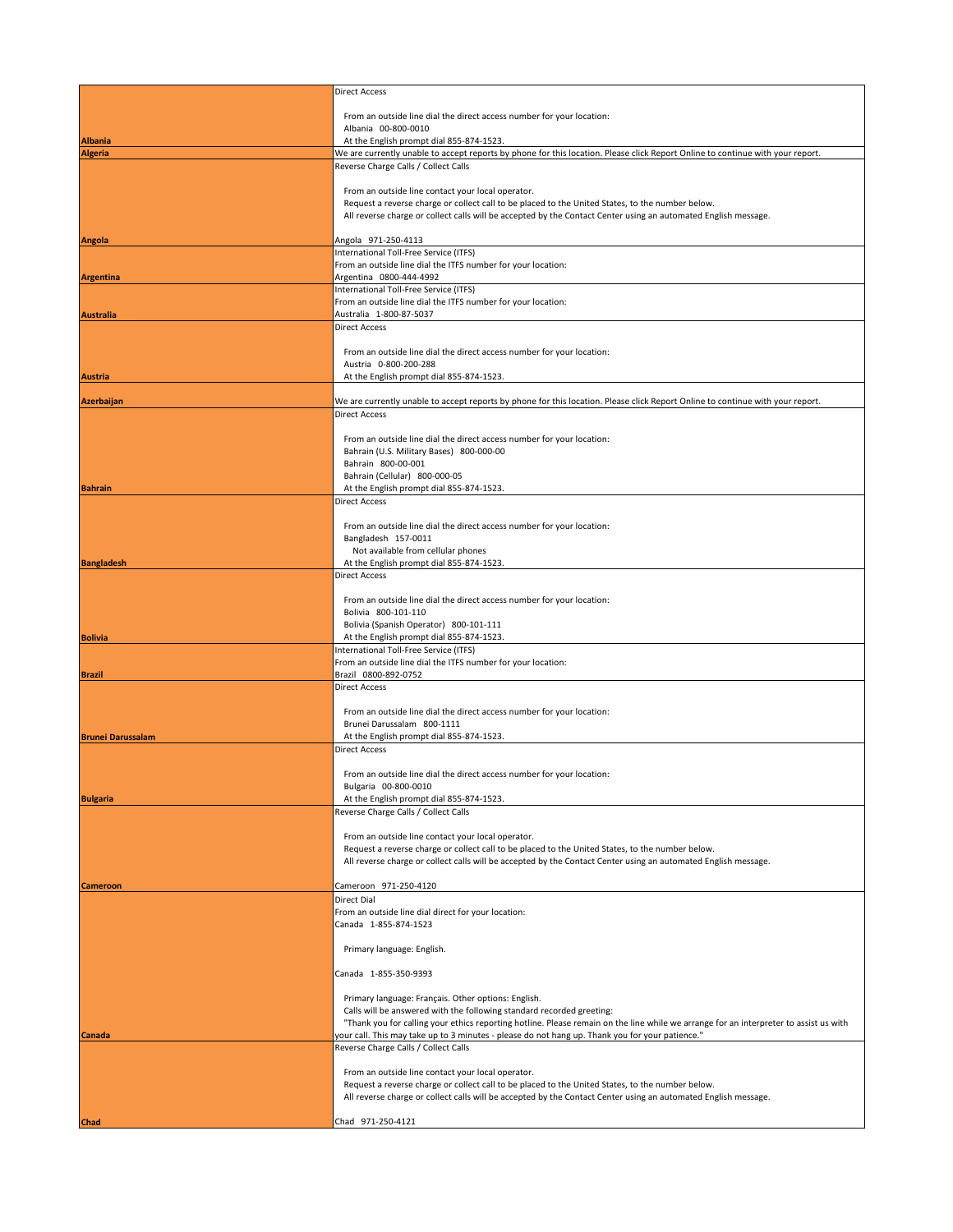|                                  | <b>Direct Access</b>                                                                                                                                                                                                                      |
|----------------------------------|-------------------------------------------------------------------------------------------------------------------------------------------------------------------------------------------------------------------------------------------|
|                                  | From an outside line dial the direct access number for your location:                                                                                                                                                                     |
|                                  | Albania 00-800-0010                                                                                                                                                                                                                       |
| <b>Albania</b><br><b>Algeria</b> | At the English prompt dial 855-874-1523.<br>We are currently unable to accept reports by phone for this location. Please click Report Online to continue with your report.                                                                |
|                                  | Reverse Charge Calls / Collect Calls                                                                                                                                                                                                      |
|                                  |                                                                                                                                                                                                                                           |
|                                  | From an outside line contact your local operator.<br>Request a reverse charge or collect call to be placed to the United States, to the number below.                                                                                     |
|                                  | All reverse charge or collect calls will be accepted by the Contact Center using an automated English message.                                                                                                                            |
|                                  |                                                                                                                                                                                                                                           |
| <b>Angola</b>                    | Angola 971-250-4113<br>International Toll-Free Service (ITFS)                                                                                                                                                                             |
|                                  | From an outside line dial the ITFS number for your location:                                                                                                                                                                              |
| Argentina                        | Argentina 0800-444-4992<br>International Toll-Free Service (ITFS)                                                                                                                                                                         |
|                                  | From an outside line dial the ITFS number for your location:                                                                                                                                                                              |
| <b>Australia</b>                 | Australia 1-800-87-5037                                                                                                                                                                                                                   |
|                                  | <b>Direct Access</b>                                                                                                                                                                                                                      |
|                                  | From an outside line dial the direct access number for your location:                                                                                                                                                                     |
| <b>Austria</b>                   | Austria 0-800-200-288<br>At the English prompt dial 855-874-1523.                                                                                                                                                                         |
|                                  |                                                                                                                                                                                                                                           |
| Azerbaijan                       | We are currently unable to accept reports by phone for this location. Please click Report Online to continue with your report.                                                                                                            |
|                                  | <b>Direct Access</b>                                                                                                                                                                                                                      |
|                                  | From an outside line dial the direct access number for your location:                                                                                                                                                                     |
|                                  | Bahrain (U.S. Military Bases) 800-000-00                                                                                                                                                                                                  |
|                                  | Bahrain 800-00-001<br>Bahrain (Cellular) 800-000-05                                                                                                                                                                                       |
| <b>Bahrain</b>                   | At the English prompt dial 855-874-1523.                                                                                                                                                                                                  |
|                                  | Direct Access                                                                                                                                                                                                                             |
|                                  | From an outside line dial the direct access number for your location:                                                                                                                                                                     |
|                                  | Bangladesh 157-0011                                                                                                                                                                                                                       |
| <b>Bangladesh</b>                | Not available from cellular phones<br>At the English prompt dial 855-874-1523.                                                                                                                                                            |
|                                  | Direct Access                                                                                                                                                                                                                             |
|                                  |                                                                                                                                                                                                                                           |
|                                  | From an outside line dial the direct access number for your location:<br>Bolivia 800-101-110                                                                                                                                              |
|                                  | Bolivia (Spanish Operator) 800-101-111                                                                                                                                                                                                    |
| <b>Bolivia</b>                   | At the English prompt dial 855-874-1523.<br>International Toll-Free Service (ITFS)                                                                                                                                                        |
|                                  | From an outside line dial the ITFS number for your location:                                                                                                                                                                              |
| <b>Brazil</b>                    | Brazil 0800-892-0752<br><b>Direct Access</b>                                                                                                                                                                                              |
|                                  |                                                                                                                                                                                                                                           |
|                                  | From an outside line dial the direct access number for your location:<br>Brunei Darussalam 800-1111                                                                                                                                       |
| <b>Brunei Darussalam</b>         | At the English prompt dial 855-874-1523.                                                                                                                                                                                                  |
|                                  | <b>Direct Access</b>                                                                                                                                                                                                                      |
|                                  | From an outside line dial the direct access number for your location:                                                                                                                                                                     |
|                                  | Bulgaria 00-800-0010                                                                                                                                                                                                                      |
| <b>Bulgaria</b>                  | At the English prompt dial 855-874-1523.                                                                                                                                                                                                  |
|                                  | Reverse Charge Calls / Collect Calls                                                                                                                                                                                                      |
|                                  | From an outside line contact your local operator.                                                                                                                                                                                         |
|                                  | Request a reverse charge or collect call to be placed to the United States, to the number below.<br>All reverse charge or collect calls will be accepted by the Contact Center using an automated English message.                        |
|                                  |                                                                                                                                                                                                                                           |
| <b>Cameroon</b>                  | Cameroon 971-250-4120                                                                                                                                                                                                                     |
|                                  | Direct Dial<br>From an outside line dial direct for your location:                                                                                                                                                                        |
|                                  | Canada 1-855-874-1523                                                                                                                                                                                                                     |
|                                  | Primary language: English.                                                                                                                                                                                                                |
|                                  |                                                                                                                                                                                                                                           |
|                                  | Canada 1-855-350-9393                                                                                                                                                                                                                     |
|                                  | Primary language: Français. Other options: English.                                                                                                                                                                                       |
|                                  | Calls will be answered with the following standard recorded greeting:                                                                                                                                                                     |
| Canada                           | "Thank you for calling your ethics reporting hotline. Please remain on the line while we arrange for an interpreter to assist us with<br>", your call. This may take up to 3 minutes - please do not hang up. Thank you for your patience |
|                                  | Reverse Charge Calls / Collect Calls                                                                                                                                                                                                      |
|                                  |                                                                                                                                                                                                                                           |
|                                  | From an outside line contact your local operator.<br>Request a reverse charge or collect call to be placed to the United States, to the number below.                                                                                     |
|                                  | All reverse charge or collect calls will be accepted by the Contact Center using an automated English message.                                                                                                                            |
| Chad                             | Chad 971-250-4121                                                                                                                                                                                                                         |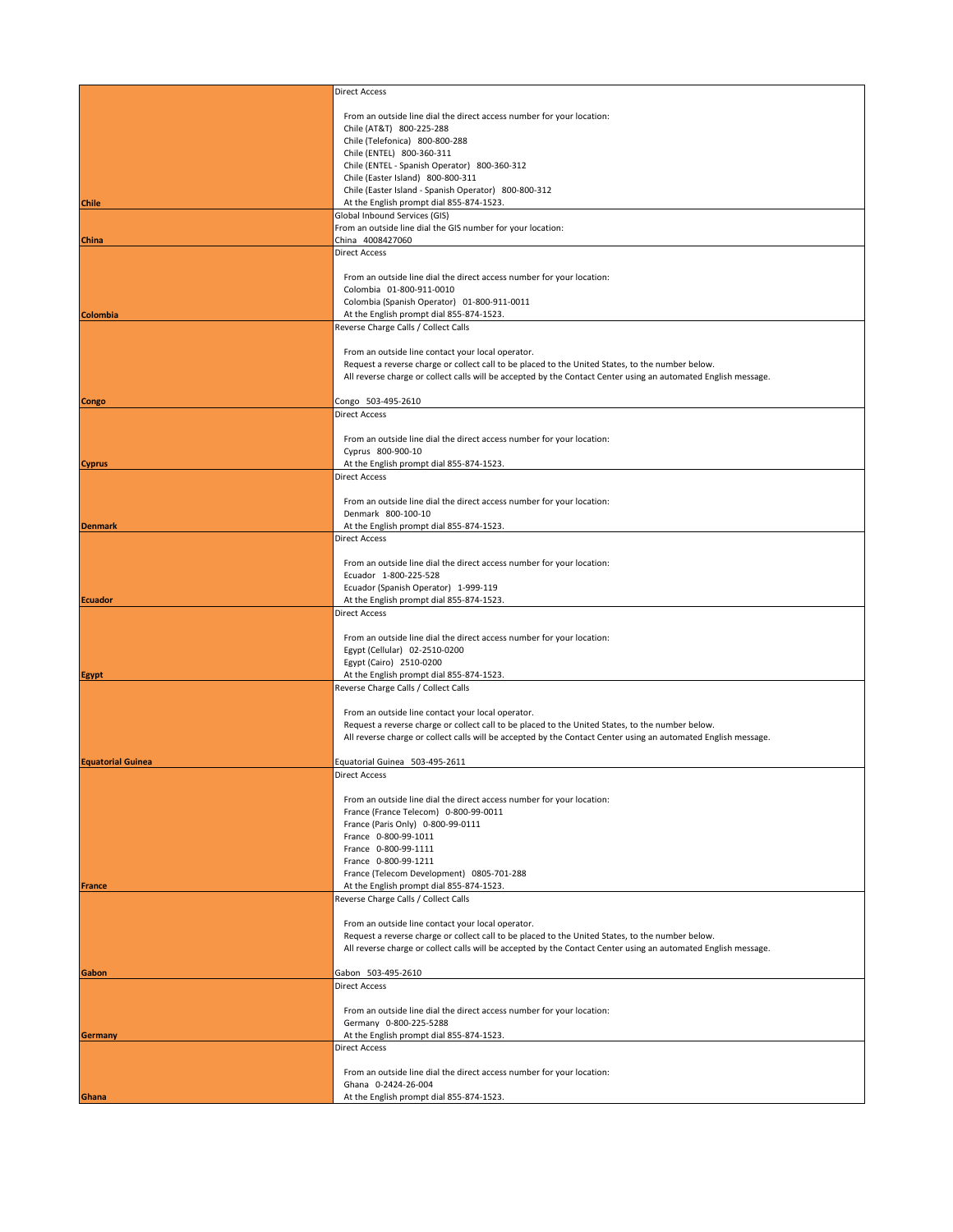|                          | <b>Direct Access</b>                                                                                           |
|--------------------------|----------------------------------------------------------------------------------------------------------------|
|                          | From an outside line dial the direct access number for your location:                                          |
|                          | Chile (AT&T) 800-225-288                                                                                       |
|                          | Chile (Telefonica) 800-800-288                                                                                 |
|                          | Chile (ENTEL) 800-360-311<br>Chile (ENTEL - Spanish Operator) 800-360-312                                      |
|                          | Chile (Easter Island) 800-800-311                                                                              |
|                          | Chile (Easter Island - Spanish Operator) 800-800-312                                                           |
| <b>Chile</b>             | At the English prompt dial 855-874-1523.                                                                       |
|                          | Global Inbound Services (GIS)<br>From an outside line dial the GIS number for your location:                   |
| <b>China</b>             | China 4008427060                                                                                               |
|                          | <b>Direct Access</b>                                                                                           |
|                          | From an outside line dial the direct access number for your location:                                          |
|                          | Colombia 01-800-911-0010                                                                                       |
|                          | Colombia (Spanish Operator) 01-800-911-0011                                                                    |
| <b>Colombia</b>          | At the English prompt dial 855-874-1523.<br>Reverse Charge Calls / Collect Calls                               |
|                          |                                                                                                                |
|                          | From an outside line contact your local operator.                                                              |
|                          | Request a reverse charge or collect call to be placed to the United States, to the number below.               |
|                          | All reverse charge or collect calls will be accepted by the Contact Center using an automated English message. |
| Congo                    | Congo 503-495-2610                                                                                             |
|                          | <b>Direct Access</b>                                                                                           |
|                          | From an outside line dial the direct access number for your location:                                          |
|                          | Cyprus 800-900-10                                                                                              |
| <b>Cyprus</b>            | At the English prompt dial 855-874-1523.                                                                       |
|                          | <b>Direct Access</b>                                                                                           |
|                          | From an outside line dial the direct access number for your location:                                          |
|                          | Denmark 800-100-10                                                                                             |
| <b>Denmark</b>           | At the English prompt dial 855-874-1523.<br><b>Direct Access</b>                                               |
|                          |                                                                                                                |
|                          | From an outside line dial the direct access number for your location:                                          |
|                          | Ecuador 1-800-225-528                                                                                          |
| <b>Ecuador</b>           | Ecuador (Spanish Operator) 1-999-119<br>At the English prompt dial 855-874-1523.                               |
|                          | <b>Direct Access</b>                                                                                           |
|                          |                                                                                                                |
|                          | From an outside line dial the direct access number for your location:<br>Egypt (Cellular) 02-2510-0200         |
|                          | Egypt (Cairo) 2510-0200                                                                                        |
| <b>Egypt</b>             | At the English prompt dial 855-874-1523.                                                                       |
|                          | Reverse Charge Calls / Collect Calls                                                                           |
|                          | From an outside line contact your local operator.                                                              |
|                          | Request a reverse charge or collect call to be placed to the United States, to the number below.               |
|                          | All reverse charge or collect calls will be accepted by the Contact Center using an automated English message. |
| <b>Equatorial Guinea</b> | Equatorial Guinea 503-495-2611                                                                                 |
|                          | <b>Direct Access</b>                                                                                           |
|                          | From an outside line dial the direct access number for your location:                                          |
|                          | France (France Telecom) 0-800-99-0011                                                                          |
|                          | France (Paris Only) 0-800-99-0111                                                                              |
|                          | France 0-800-99-1011<br>France 0-800-99-1111                                                                   |
|                          | France 0-800-99-1211                                                                                           |
|                          | France (Telecom Development) 0805-701-288                                                                      |
| <b>France</b>            | At the English prompt dial 855-874-1523.                                                                       |
|                          | Reverse Charge Calls / Collect Calls                                                                           |
|                          | From an outside line contact your local operator.                                                              |
|                          | Request a reverse charge or collect call to be placed to the United States, to the number below.               |
|                          | All reverse charge or collect calls will be accepted by the Contact Center using an automated English message. |
| Gabon                    | Gabon 503-495-2610                                                                                             |
|                          | <b>Direct Access</b>                                                                                           |
|                          | From an outside line dial the direct access number for your location:                                          |
|                          | Germany 0-800-225-5288                                                                                         |
| Germany                  | At the English prompt dial 855-874-1523.                                                                       |
|                          | <b>Direct Access</b>                                                                                           |
|                          | From an outside line dial the direct access number for your location:                                          |
|                          | Ghana 0-2424-26-004                                                                                            |
| Ghana                    | At the English prompt dial 855-874-1523.                                                                       |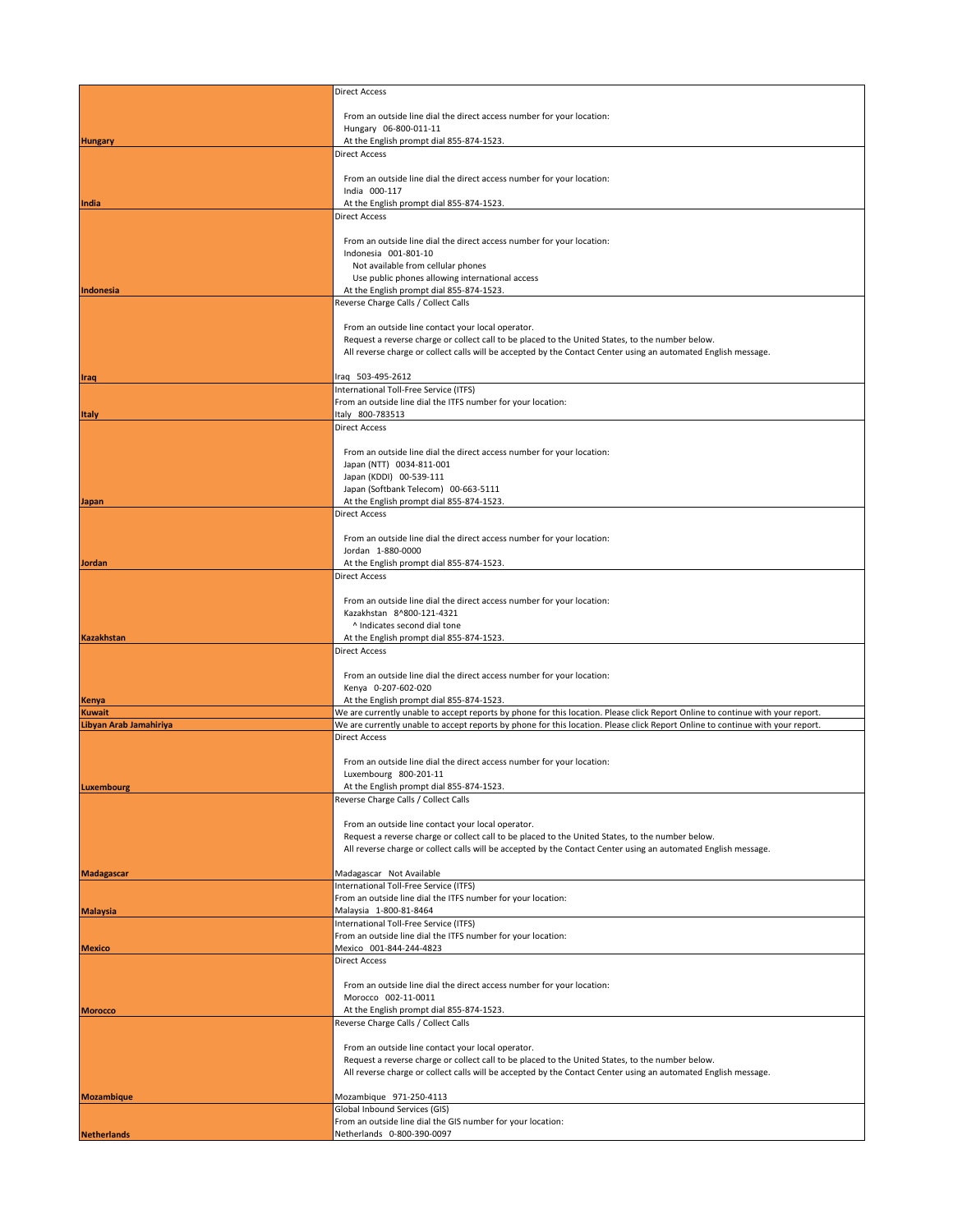|                                         | <b>Direct Access</b>                                                                                                                                                                                                                                             |
|-----------------------------------------|------------------------------------------------------------------------------------------------------------------------------------------------------------------------------------------------------------------------------------------------------------------|
|                                         |                                                                                                                                                                                                                                                                  |
|                                         | From an outside line dial the direct access number for your location:<br>Hungary 06-800-011-11                                                                                                                                                                   |
| <b>Hungary</b>                          | At the English prompt dial 855-874-1523.                                                                                                                                                                                                                         |
|                                         | Direct Access                                                                                                                                                                                                                                                    |
|                                         | From an outside line dial the direct access number for your location:                                                                                                                                                                                            |
|                                         | India 000-117                                                                                                                                                                                                                                                    |
| India                                   | At the English prompt dial 855-874-1523.                                                                                                                                                                                                                         |
|                                         | <b>Direct Access</b>                                                                                                                                                                                                                                             |
|                                         | From an outside line dial the direct access number for your location:                                                                                                                                                                                            |
|                                         | Indonesia 001-801-10                                                                                                                                                                                                                                             |
|                                         | Not available from cellular phones<br>Use public phones allowing international access                                                                                                                                                                            |
| Indonesia                               | At the English prompt dial 855-874-1523.                                                                                                                                                                                                                         |
|                                         | Reverse Charge Calls / Collect Calls                                                                                                                                                                                                                             |
|                                         | From an outside line contact your local operator.                                                                                                                                                                                                                |
|                                         | Request a reverse charge or collect call to be placed to the United States, to the number below.                                                                                                                                                                 |
|                                         | All reverse charge or collect calls will be accepted by the Contact Center using an automated English message.                                                                                                                                                   |
| <b>Iraq</b>                             | Iraq 503-495-2612                                                                                                                                                                                                                                                |
|                                         | International Toll-Free Service (ITFS)                                                                                                                                                                                                                           |
|                                         | From an outside line dial the ITFS number for your location:                                                                                                                                                                                                     |
| <b>Italy</b>                            | Italy 800-783513<br><b>Direct Access</b>                                                                                                                                                                                                                         |
|                                         |                                                                                                                                                                                                                                                                  |
|                                         | From an outside line dial the direct access number for your location:                                                                                                                                                                                            |
|                                         | Japan (NTT) 0034-811-001<br>Japan (KDDI) 00-539-111                                                                                                                                                                                                              |
|                                         | Japan (Softbank Telecom) 00-663-5111                                                                                                                                                                                                                             |
| Japan                                   | At the English prompt dial 855-874-1523.                                                                                                                                                                                                                         |
|                                         | <b>Direct Access</b>                                                                                                                                                                                                                                             |
|                                         | From an outside line dial the direct access number for your location:                                                                                                                                                                                            |
|                                         | Jordan 1-880-0000                                                                                                                                                                                                                                                |
| Jordan                                  | At the English prompt dial 855-874-1523.<br>Direct Access                                                                                                                                                                                                        |
|                                         |                                                                                                                                                                                                                                                                  |
|                                         | From an outside line dial the direct access number for your location:                                                                                                                                                                                            |
|                                         | Kazakhstan 8^800-121-4321<br>^ Indicates second dial tone                                                                                                                                                                                                        |
| <b>Kazakhstan</b>                       | At the English prompt dial 855-874-1523.                                                                                                                                                                                                                         |
|                                         | Direct Access                                                                                                                                                                                                                                                    |
|                                         | From an outside line dial the direct access number for your location:                                                                                                                                                                                            |
|                                         | Kenya 0-207-602-020                                                                                                                                                                                                                                              |
| <b>Kenya</b>                            | At the English prompt dial 855-874-1523.                                                                                                                                                                                                                         |
| <b>Kuwait</b><br>Libyan Arab Jamahiriya | We are currently unable to accept reports by phone for this location. Please click Report Online to continue with your report.<br>We are currently unable to accept reports by phone for this location. Please click Report Online to continue with your report. |
|                                         | <b>Direct Access</b>                                                                                                                                                                                                                                             |
|                                         |                                                                                                                                                                                                                                                                  |
|                                         | From an outside line dial the direct access number for your location:<br>Luxembourg 800-201-11                                                                                                                                                                   |
| Luxembourg                              | At the English prompt dial 855-874-1523.                                                                                                                                                                                                                         |
|                                         | Reverse Charge Calls / Collect Calls                                                                                                                                                                                                                             |
|                                         | From an outside line contact your local operator.                                                                                                                                                                                                                |
|                                         | Request a reverse charge or collect call to be placed to the United States, to the number below.                                                                                                                                                                 |
|                                         | All reverse charge or collect calls will be accepted by the Contact Center using an automated English message.                                                                                                                                                   |
| <b>Madagascar</b>                       | Madagascar Not Available                                                                                                                                                                                                                                         |
|                                         | International Toll-Free Service (ITFS)                                                                                                                                                                                                                           |
|                                         | From an outside line dial the ITFS number for your location:                                                                                                                                                                                                     |
| <b>Malaysia</b>                         | Malaysia 1-800-81-8464<br>International Toll-Free Service (ITFS)                                                                                                                                                                                                 |
|                                         | From an outside line dial the ITFS number for your location:                                                                                                                                                                                                     |
| <b>Mexico</b>                           | Mexico 001-844-244-4823                                                                                                                                                                                                                                          |
|                                         | <b>Direct Access</b>                                                                                                                                                                                                                                             |
|                                         | From an outside line dial the direct access number for your location:                                                                                                                                                                                            |
|                                         | Morocco 002-11-0011                                                                                                                                                                                                                                              |
| <b>Morocco</b>                          | At the English prompt dial 855-874-1523.<br>Reverse Charge Calls / Collect Calls                                                                                                                                                                                 |
|                                         |                                                                                                                                                                                                                                                                  |
|                                         | From an outside line contact your local operator.                                                                                                                                                                                                                |
|                                         | Request a reverse charge or collect call to be placed to the United States, to the number below.<br>All reverse charge or collect calls will be accepted by the Contact Center using an automated English message.                                               |
|                                         |                                                                                                                                                                                                                                                                  |
| <b>Mozambique</b>                       | Mozambique 971-250-4113<br>Global Inbound Services (GIS)                                                                                                                                                                                                         |
|                                         | From an outside line dial the GIS number for your location:                                                                                                                                                                                                      |
| <b>Netherlands</b>                      | Netherlands 0-800-390-0097                                                                                                                                                                                                                                       |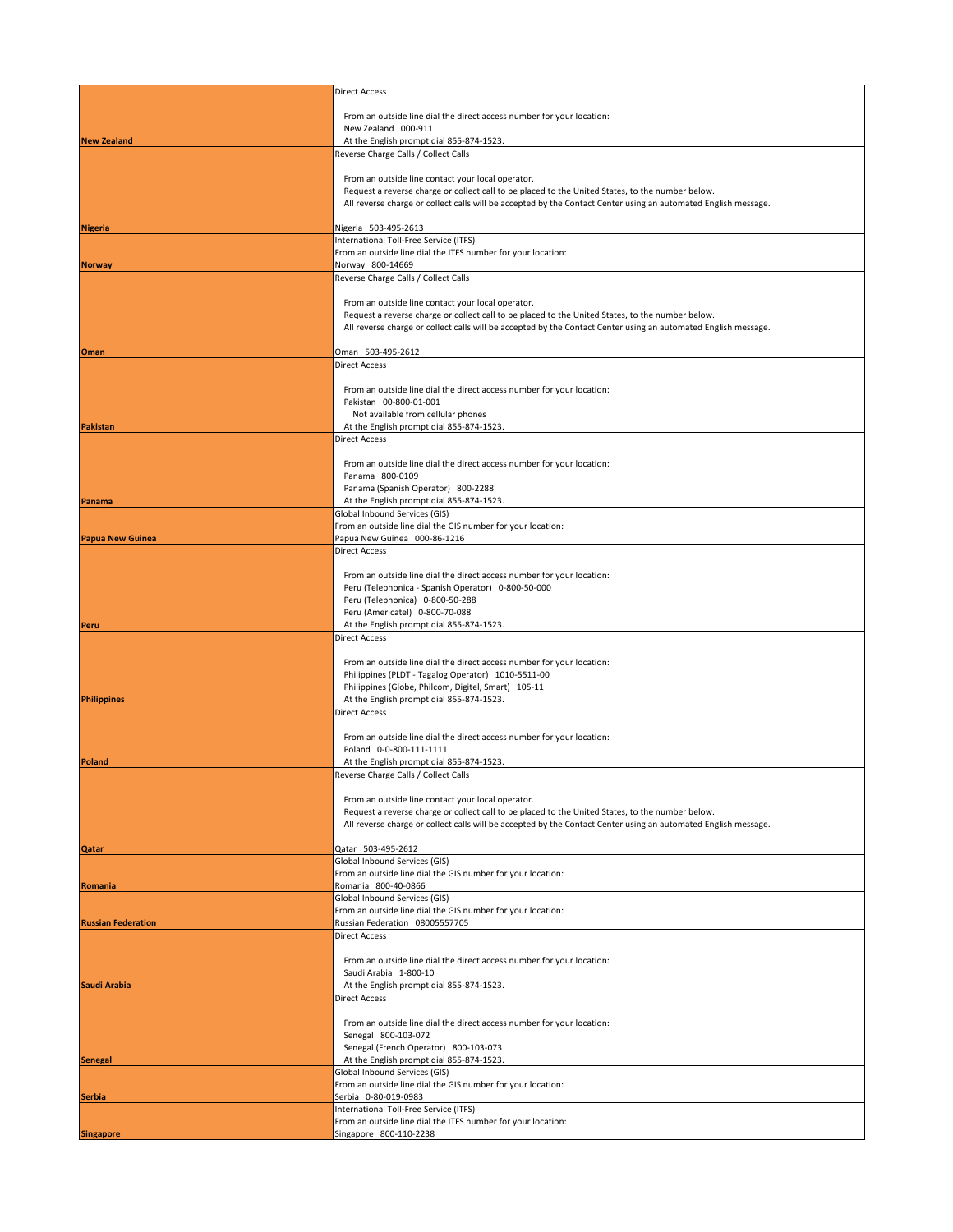|                           | <b>Direct Access</b>                                                                                                                                                                                               |
|---------------------------|--------------------------------------------------------------------------------------------------------------------------------------------------------------------------------------------------------------------|
|                           | From an outside line dial the direct access number for your location:                                                                                                                                              |
|                           | New Zealand 000-911                                                                                                                                                                                                |
| <b>New Zealand</b>        | At the English prompt dial 855-874-1523.<br>Reverse Charge Calls / Collect Calls                                                                                                                                   |
|                           |                                                                                                                                                                                                                    |
|                           | From an outside line contact your local operator.<br>Request a reverse charge or collect call to be placed to the United States, to the number below.                                                              |
|                           | All reverse charge or collect calls will be accepted by the Contact Center using an automated English message.                                                                                                     |
| <b>Nigeria</b>            | Nigeria 503-495-2613                                                                                                                                                                                               |
|                           | International Toll-Free Service (ITFS)<br>From an outside line dial the ITFS number for your location:                                                                                                             |
| <b>Norway</b>             | Norway 800-14669                                                                                                                                                                                                   |
|                           | Reverse Charge Calls / Collect Calls                                                                                                                                                                               |
|                           | From an outside line contact your local operator.                                                                                                                                                                  |
|                           | Request a reverse charge or collect call to be placed to the United States, to the number below.<br>All reverse charge or collect calls will be accepted by the Contact Center using an automated English message. |
|                           |                                                                                                                                                                                                                    |
| Oman                      | Oman 503-495-2612<br><b>Direct Access</b>                                                                                                                                                                          |
|                           |                                                                                                                                                                                                                    |
|                           | From an outside line dial the direct access number for your location:<br>Pakistan 00-800-01-001                                                                                                                    |
|                           | Not available from cellular phones                                                                                                                                                                                 |
| Pakistan                  | At the English prompt dial 855-874-1523.<br><b>Direct Access</b>                                                                                                                                                   |
|                           |                                                                                                                                                                                                                    |
|                           | From an outside line dial the direct access number for your location:<br>Panama 800-0109                                                                                                                           |
|                           | Panama (Spanish Operator) 800-2288                                                                                                                                                                                 |
| Panama                    | At the English prompt dial 855-874-1523.<br>Global Inbound Services (GIS)                                                                                                                                          |
|                           | From an outside line dial the GIS number for your location:                                                                                                                                                        |
| <b>Papua New Guinea</b>   | Papua New Guinea 000-86-1216<br><b>Direct Access</b>                                                                                                                                                               |
|                           |                                                                                                                                                                                                                    |
|                           | From an outside line dial the direct access number for your location:<br>Peru (Telephonica - Spanish Operator) 0-800-50-000                                                                                        |
|                           | Peru (Telephonica) 0-800-50-288                                                                                                                                                                                    |
| Peru                      | Peru (Americatel) 0-800-70-088<br>At the English prompt dial 855-874-1523.                                                                                                                                         |
|                           | <b>Direct Access</b>                                                                                                                                                                                               |
|                           | From an outside line dial the direct access number for your location:                                                                                                                                              |
|                           | Philippines (PLDT - Tagalog Operator) 1010-5511-00                                                                                                                                                                 |
| Philippines               | Philippines (Globe, Philcom, Digitel, Smart) 105-11<br>At the English prompt dial 855-874-1523.                                                                                                                    |
|                           | <b>Direct Access</b>                                                                                                                                                                                               |
|                           | From an outside line dial the direct access number for your location:                                                                                                                                              |
|                           | Poland 0-0-800-111-1111                                                                                                                                                                                            |
| Poland                    | At the English prompt dial 855-874-1523.<br>Reverse Charge Calls / Collect Calls                                                                                                                                   |
|                           |                                                                                                                                                                                                                    |
|                           | From an outside line contact your local operator.<br>Request a reverse charge or collect call to be placed to the United States, to the number below.                                                              |
|                           | All reverse charge or collect calls will be accepted by the Contact Center using an automated English message.                                                                                                     |
| <b>Qatar</b>              | Qatar 503-495-2612                                                                                                                                                                                                 |
|                           | Global Inbound Services (GIS)                                                                                                                                                                                      |
| Romania                   | From an outside line dial the GIS number for your location:<br>Romania 800-40-0866                                                                                                                                 |
|                           | Global Inbound Services (GIS)                                                                                                                                                                                      |
| <b>Russian Federation</b> | From an outside line dial the GIS number for your location:<br>Russian Federation 08005557705                                                                                                                      |
|                           | <b>Direct Access</b>                                                                                                                                                                                               |
|                           | From an outside line dial the direct access number for your location:                                                                                                                                              |
|                           | Saudi Arabia 1-800-10                                                                                                                                                                                              |
| Saudi Arabia              | At the English prompt dial 855-874-1523.<br>Direct Access                                                                                                                                                          |
|                           |                                                                                                                                                                                                                    |
|                           | From an outside line dial the direct access number for your location:<br>Senegal 800-103-072                                                                                                                       |
|                           | Senegal (French Operator) 800-103-073                                                                                                                                                                              |
| <b>Senegal</b>            | At the English prompt dial 855-874-1523.<br>Global Inbound Services (GIS)                                                                                                                                          |
|                           | From an outside line dial the GIS number for your location:                                                                                                                                                        |
| Serbia                    | Serbia 0-80-019-0983<br>International Toll-Free Service (ITFS)                                                                                                                                                     |
|                           | From an outside line dial the ITFS number for your location:                                                                                                                                                       |
| <b>Singapore</b>          | Singapore 800-110-2238                                                                                                                                                                                             |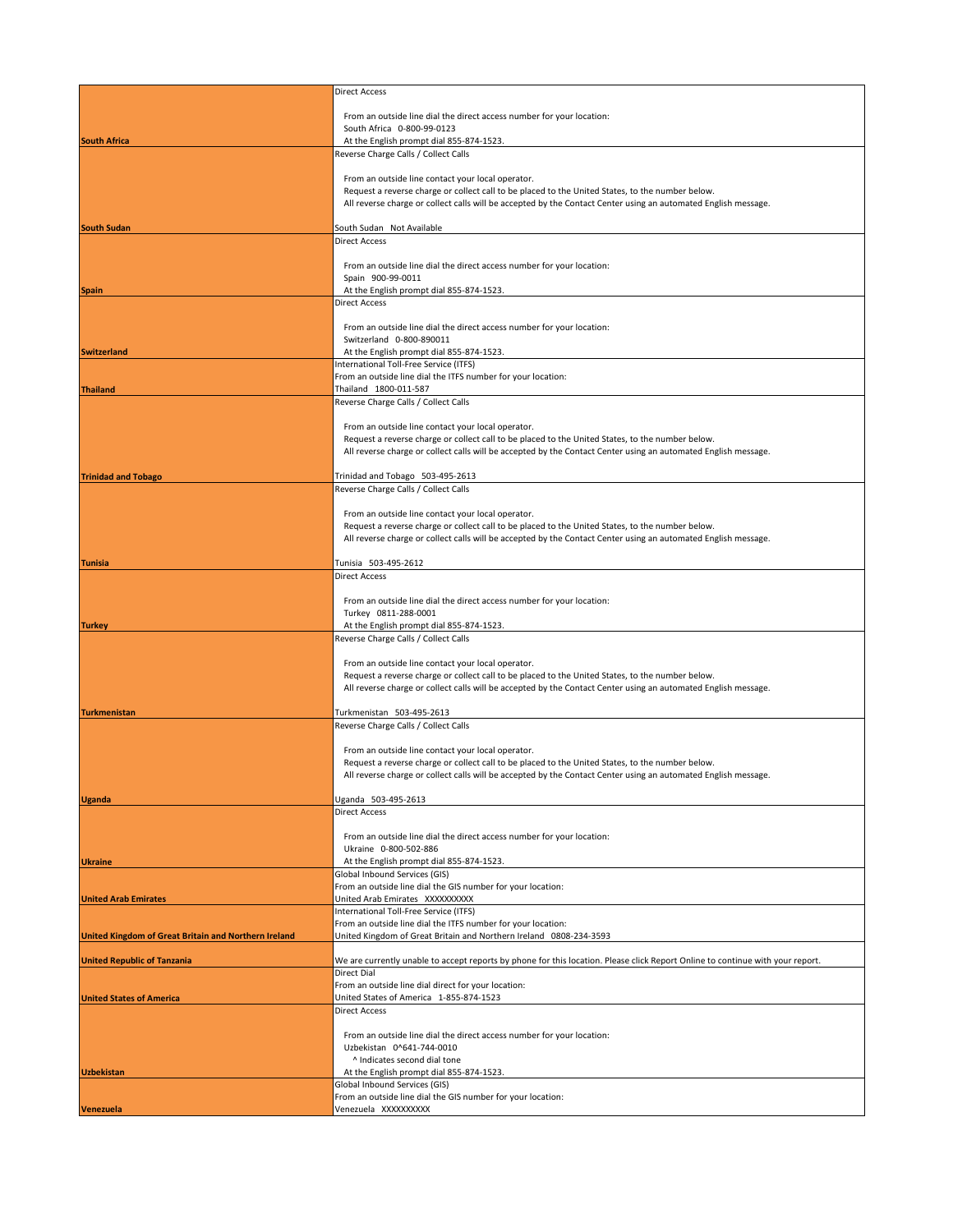|                                                      | <b>Direct Access</b>                                                                                                               |
|------------------------------------------------------|------------------------------------------------------------------------------------------------------------------------------------|
|                                                      |                                                                                                                                    |
|                                                      | From an outside line dial the direct access number for your location:<br>South Africa 0-800-99-0123                                |
| <b>South Africa</b>                                  | At the English prompt dial 855-874-1523.                                                                                           |
|                                                      | Reverse Charge Calls / Collect Calls                                                                                               |
|                                                      | From an outside line contact your local operator.                                                                                  |
|                                                      | Request a reverse charge or collect call to be placed to the United States, to the number below.                                   |
|                                                      | All reverse charge or collect calls will be accepted by the Contact Center using an automated English message.                     |
| <b>South Sudan</b>                                   | South Sudan Not Available                                                                                                          |
|                                                      | <b>Direct Access</b>                                                                                                               |
|                                                      |                                                                                                                                    |
|                                                      | From an outside line dial the direct access number for your location:<br>Spain 900-99-0011                                         |
| <b>Spain</b>                                         | At the English prompt dial 855-874-1523.                                                                                           |
|                                                      | <b>Direct Access</b>                                                                                                               |
|                                                      | From an outside line dial the direct access number for your location:                                                              |
|                                                      | Switzerland 0-800-890011                                                                                                           |
| <b>Switzerland</b>                                   | At the English prompt dial 855-874-1523.                                                                                           |
|                                                      | International Toll-Free Service (ITFS)<br>From an outside line dial the ITFS number for your location:                             |
| <b>Thailand</b>                                      | Thailand 1800-011-587                                                                                                              |
|                                                      | Reverse Charge Calls / Collect Calls                                                                                               |
|                                                      | From an outside line contact your local operator.                                                                                  |
|                                                      | Request a reverse charge or collect call to be placed to the United States, to the number below.                                   |
|                                                      | All reverse charge or collect calls will be accepted by the Contact Center using an automated English message.                     |
| <b>Trinidad and Tobago</b>                           | Trinidad and Tobago 503-495-2613                                                                                                   |
|                                                      | Reverse Charge Calls / Collect Calls                                                                                               |
|                                                      | From an outside line contact your local operator.                                                                                  |
|                                                      | Request a reverse charge or collect call to be placed to the United States, to the number below.                                   |
|                                                      | All reverse charge or collect calls will be accepted by the Contact Center using an automated English message.                     |
| <b>Tunisia</b>                                       | Tunisia 503-495-2612                                                                                                               |
|                                                      | <b>Direct Access</b>                                                                                                               |
|                                                      |                                                                                                                                    |
|                                                      | From an outside line dial the direct access number for your location:<br>Turkey 0811-288-0001                                      |
| <b>Turkey</b>                                        | At the English prompt dial 855-874-1523.                                                                                           |
|                                                      | Reverse Charge Calls / Collect Calls                                                                                               |
|                                                      | From an outside line contact your local operator.                                                                                  |
|                                                      | Request a reverse charge or collect call to be placed to the United States, to the number below.                                   |
|                                                      | All reverse charge or collect calls will be accepted by the Contact Center using an automated English message.                     |
| <b>Turkmenistan</b>                                  | Turkmenistan 503-495-2613                                                                                                          |
|                                                      | Reverse Charge Calls / Collect Calls                                                                                               |
|                                                      | From an outside line contact your local operator.                                                                                  |
|                                                      | Request a reverse charge or collect call to be placed to the United States, to the number below.                                   |
|                                                      | All reverse charge or collect calls will be accepted by the Contact Center using an automated English message.                     |
| <b>Uganda</b>                                        | Uganda 503-495-2613                                                                                                                |
|                                                      | <b>Direct Access</b>                                                                                                               |
|                                                      |                                                                                                                                    |
|                                                      | From an outside line dial the direct access number for your location:<br>Ukraine 0-800-502-886                                     |
| <b>Ukraine</b>                                       | At the English prompt dial 855-874-1523.                                                                                           |
|                                                      | Global Inbound Services (GIS)<br>From an outside line dial the GIS number for your location:                                       |
| <b>United Arab Emirates</b>                          | United Arab Emirates XXXXXXXXXX                                                                                                    |
|                                                      | International Toll-Free Service (ITFS)                                                                                             |
| United Kingdom of Great Britain and Northern Ireland | From an outside line dial the ITFS number for your location:<br>United Kingdom of Great Britain and Northern Ireland 0808-234-3593 |
|                                                      |                                                                                                                                    |
| <b>United Republic of Tanzania</b>                   | We are currently unable to accept reports by phone for this location. Please click Report Online to continue with your report.     |
|                                                      | Direct Dial<br>From an outside line dial direct for your location:                                                                 |
| <b>United States of America</b>                      | United States of America 1-855-874-1523                                                                                            |
|                                                      | <b>Direct Access</b>                                                                                                               |
|                                                      | From an outside line dial the direct access number for your location:                                                              |
|                                                      | Uzbekistan 0^641-744-0010                                                                                                          |
| <b>Uzbekistan</b>                                    | ^ Indicates second dial tone<br>At the English prompt dial 855-874-1523.                                                           |
|                                                      | Global Inbound Services (GIS)                                                                                                      |
|                                                      | From an outside line dial the GIS number for your location:                                                                        |
| Venezuela                                            | Venezuela XXXXXXXXX                                                                                                                |